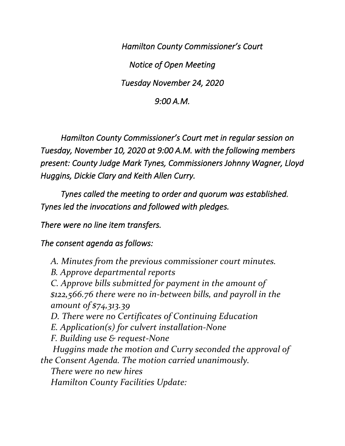*Hamilton County Commissioner's Court Notice of Open Meeting Tuesday November 24, 2020* 

*9:00 A.M.* 

 *Hamilton County Commissioner's Court met in regular session on Tuesday, November 10, 2020 at 9:00 A.M. with the following members present: County Judge Mark Tynes, Commissioners Johnny Wagner, Lloyd Huggins, Dickie Clary and Keith Allen Curry.* 

 *Tynes called the meeting to order and quorum was established. Tynes led the invocations and followed with pledges.* 

*There were no line item transfers.* 

*The consent agenda as follows:* 

*A. Minutes from the previous commissioner court minutes. B. Approve departmental reports C. Approve bills submitted for payment in the amount of \$122,566.76 there were no in-between bills, and payroll in the amount of \$74,313.39 D. There were no Certificates of Continuing Education E. Application(s) for culvert installation-None F. Building use & request-None Huggins made the motion and Curry seconded the approval of the Consent Agenda. The motion carried unanimously. There were no new hires Hamilton County Facilities Update:*